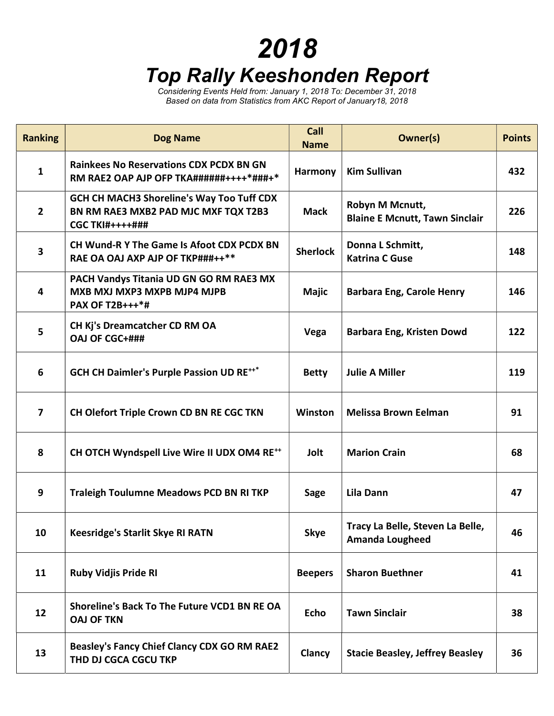## 2018

## Top Rally Keeshonden Report

Considering Events Held from: January 1, 2018 To: December 31, 2018 Based on data from Statistics from AKC Report of January18, 2018

| <b>Ranking</b> | <b>Dog Name</b>                                                                                                    | Call<br><b>Name</b> | Owner(s)                                                   | <b>Points</b> |
|----------------|--------------------------------------------------------------------------------------------------------------------|---------------------|------------------------------------------------------------|---------------|
| $\mathbf{1}$   | <b>Rainkees No Reservations CDX PCDX BN GN</b><br>RM RAE2 OAP AJP OFP TKA######++++*###+*                          | Harmony             | <b>Kim Sullivan</b>                                        | 432           |
| $\overline{2}$ | <b>GCH CH MACH3 Shoreline's Way Too Tuff CDX</b><br>BN RM RAE3 MXB2 PAD MJC MXF TQX T2B3<br><b>CGC TKI#++++###</b> | <b>Mack</b>         | Robyn M Mcnutt,<br><b>Blaine E Mcnutt, Tawn Sinclair</b>   | 226           |
| 3              | CH Wund-R Y The Game Is Afoot CDX PCDX BN<br>RAE OA OAJ AXP AJP OF TKP###++**                                      | <b>Sherlock</b>     | Donna L Schmitt,<br><b>Katrina C Guse</b>                  | 148           |
| 4              | PACH Vandys Titania UD GN GO RM RAE3 MX<br>MXB MXJ MXP3 MXPB MJP4 MJPB<br>PAX OF T2B+++*#                          | <b>Majic</b>        | <b>Barbara Eng, Carole Henry</b>                           | 146           |
| 5              | CH Kj's Dreamcatcher CD RM OA<br><b>OAJ OF CGC+###</b>                                                             | Vega                | <b>Barbara Eng, Kristen Dowd</b>                           | 122           |
| 6              | <b>GCH CH Daimler's Purple Passion UD RE***</b>                                                                    | <b>Betty</b>        | <b>Julie A Miller</b>                                      | 119           |
| $\overline{7}$ | CH Olefort Triple Crown CD BN RE CGC TKN                                                                           | Winston             | <b>Melissa Brown Eelman</b>                                | 91            |
| 8              | CH OTCH Wyndspell Live Wire II UDX OM4 RE <sup>++</sup>                                                            | Jolt                | <b>Marion Crain</b>                                        | 68            |
| 9              | <b>Traleigh Toulumne Meadows PCD BN RI TKP</b>                                                                     | Sage                | Lila Dann                                                  | 47            |
| 10             | <b>Keesridge's Starlit Skye RI RATN</b>                                                                            | <b>Skye</b>         | Tracy La Belle, Steven La Belle,<br><b>Amanda Lougheed</b> | 46            |
| 11             | <b>Ruby Vidjis Pride RI</b>                                                                                        | <b>Beepers</b>      | <b>Sharon Buethner</b>                                     | 41            |
| 12             | Shoreline's Back To The Future VCD1 BN RE OA<br><b>OAJ OF TKN</b>                                                  | <b>Echo</b>         | <b>Tawn Sinclair</b>                                       | 38            |
| 13             | <b>Beasley's Fancy Chief Clancy CDX GO RM RAE2</b><br>THD DJ CGCA CGCU TKP                                         | Clancy              | <b>Stacie Beasley, Jeffrey Beasley</b>                     | 36            |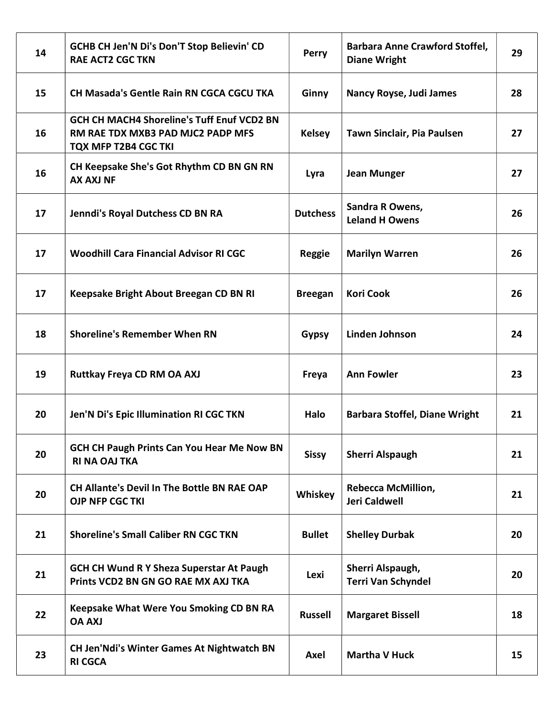| 14 | <b>GCHB CH Jen'N Di's Don'T Stop Believin' CD</b><br><b>RAE ACT2 CGC TKN</b>                            | <b>Perry</b>    | <b>Barbara Anne Crawford Stoffel,</b><br><b>Diane Wright</b> | 29 |
|----|---------------------------------------------------------------------------------------------------------|-----------------|--------------------------------------------------------------|----|
| 15 | <b>CH Masada's Gentle Rain RN CGCA CGCU TKA</b>                                                         | Ginny           | <b>Nancy Royse, Judi James</b>                               | 28 |
| 16 | GCH CH MACH4 Shoreline's Tuff Enuf VCD2 BN<br>RM RAE TDX MXB3 PAD MJC2 PADP MFS<br>TQX MFP T2B4 CGC TKI | <b>Kelsey</b>   | Tawn Sinclair, Pia Paulsen                                   | 27 |
| 16 | CH Keepsake She's Got Rhythm CD BN GN RN<br><b>AX AXJ NF</b>                                            | Lyra            | <b>Jean Munger</b>                                           | 27 |
| 17 | Jenndi's Royal Dutchess CD BN RA                                                                        | <b>Dutchess</b> | Sandra R Owens,<br><b>Leland H Owens</b>                     | 26 |
| 17 | <b>Woodhill Cara Financial Advisor RI CGC</b>                                                           | <b>Reggie</b>   | <b>Marilyn Warren</b>                                        | 26 |
| 17 | Keepsake Bright About Breegan CD BN RI                                                                  | <b>Breegan</b>  | <b>Kori Cook</b>                                             | 26 |
| 18 | <b>Shoreline's Remember When RN</b>                                                                     | <b>Gypsy</b>    | <b>Linden Johnson</b>                                        | 24 |
| 19 | <b>Ruttkay Freya CD RM OA AXJ</b>                                                                       | Freya           | <b>Ann Fowler</b>                                            | 23 |
| 20 | Jen'N Di's Epic Illumination RI CGC TKN                                                                 | Halo            | <b>Barbara Stoffel, Diane Wright</b>                         | 21 |
| 20 | <b>GCH CH Paugh Prints Can You Hear Me Now BN</b><br><b>RI NA OAJ TKA</b>                               | <b>Sissy</b>    | <b>Sherri Alspaugh</b>                                       | 21 |
| 20 | <b>CH Allante's Devil In The Bottle BN RAE OAP</b><br><b>OJP NFP CGC TKI</b>                            | Whiskey         | <b>Rebecca McMillion,</b><br><b>Jeri Caldwell</b>            | 21 |
| 21 | <b>Shoreline's Small Caliber RN CGC TKN</b>                                                             | <b>Bullet</b>   | <b>Shelley Durbak</b>                                        | 20 |
| 21 | <b>GCH CH Wund R Y Sheza Superstar At Paugh</b><br>Prints VCD2 BN GN GO RAE MX AXJ TKA                  | Lexi            | Sherri Alspaugh,<br><b>Terri Van Schyndel</b>                | 20 |
| 22 | <b>Keepsake What Were You Smoking CD BN RA</b><br><b>UXA AO</b>                                         | <b>Russell</b>  | <b>Margaret Bissell</b>                                      | 18 |
| 23 | <b>CH Jen'Ndi's Winter Games At Nightwatch BN</b><br><b>RI CGCA</b>                                     | Axel            | <b>Martha V Huck</b>                                         | 15 |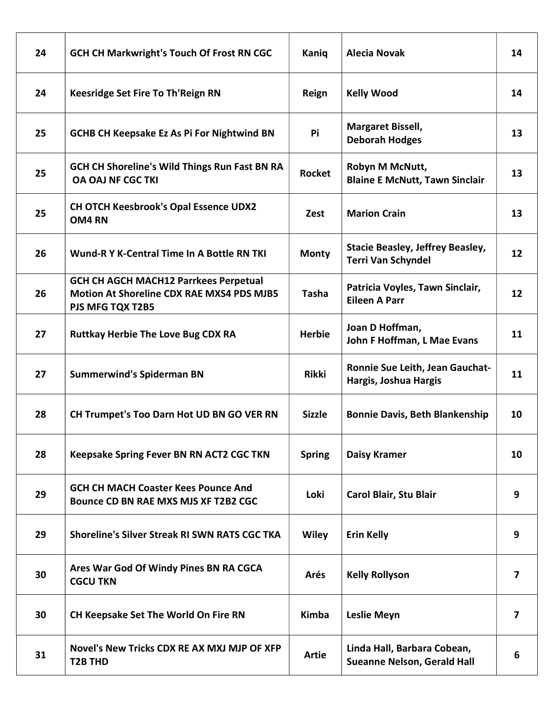| 24 | <b>GCH CH Markwright's Touch Of Frost RN CGC</b>                                                                            | Kaniq         | <b>Alecia Novak</b>                                                  | 14                      |
|----|-----------------------------------------------------------------------------------------------------------------------------|---------------|----------------------------------------------------------------------|-------------------------|
| 24 | Keesridge Set Fire To Th'Reign RN                                                                                           | Reign         | <b>Kelly Wood</b>                                                    | 14                      |
| 25 | <b>GCHB CH Keepsake Ez As Pi For Nightwind BN</b>                                                                           | Pi            | <b>Margaret Bissell,</b><br><b>Deborah Hodges</b>                    | 13                      |
| 25 | <b>GCH CH Shoreline's Wild Things Run Fast BN RA</b><br><b>OA OAJ NF CGC TKI</b>                                            | <b>Rocket</b> | Robyn M McNutt,<br><b>Blaine E McNutt, Tawn Sinclair</b>             | 13                      |
| 25 | <b>CH OTCH Keesbrook's Opal Essence UDX2</b><br>OM4 RN                                                                      | Zest          | <b>Marion Crain</b>                                                  | 13                      |
| 26 | Wund-R Y K-Central Time In A Bottle RN TKI                                                                                  | <b>Monty</b>  | <b>Stacie Beasley, Jeffrey Beasley,</b><br><b>Terri Van Schyndel</b> | 12                      |
| 26 | <b>GCH CH AGCH MACH12 Parrkees Perpetual</b><br><b>Motion At Shoreline CDX RAE MXS4 PDS MJB5</b><br><b>PJS MFG TQX T2B5</b> | <b>Tasha</b>  | Patricia Voyles, Tawn Sinclair,<br><b>Eileen A Parr</b>              | 12                      |
| 27 | <b>Ruttkay Herbie The Love Bug CDX RA</b>                                                                                   | <b>Herbie</b> | Joan D Hoffman,<br>John F Hoffman, L Mae Evans                       | 11                      |
| 27 | <b>Summerwind's Spiderman BN</b>                                                                                            | <b>Rikki</b>  | Ronnie Sue Leith, Jean Gauchat-<br>Hargis, Joshua Hargis             | 11                      |
| 28 | <b>CH Trumpet's Too Darn Hot UD BN GO VER RN</b>                                                                            | <b>Sizzle</b> | <b>Bonnie Davis, Beth Blankenship</b>                                | 10                      |
| 28 | Keepsake Spring Fever BN RN ACT2 CGC TKN                                                                                    | <b>Spring</b> | <b>Daisy Kramer</b>                                                  | 10                      |
| 29 | <b>GCH CH MACH Coaster Kees Pounce And</b><br>Bounce CD BN RAE MXS MJS XF T2B2 CGC                                          | Loki          | Carol Blair, Stu Blair                                               | 9                       |
| 29 | <b>Shoreline's Silver Streak RI SWN RATS CGC TKA</b>                                                                        | <b>Wiley</b>  | <b>Erin Kelly</b>                                                    | 9                       |
| 30 | Ares War God Of Windy Pines BN RA CGCA<br><b>CGCU TKN</b>                                                                   | Arés          | <b>Kelly Rollyson</b>                                                | $\overline{7}$          |
| 30 | <b>CH Keepsake Set The World On Fire RN</b>                                                                                 | Kimba         | <b>Leslie Meyn</b>                                                   | $\overline{\mathbf{z}}$ |
| 31 | Novel's New Tricks CDX RE AX MXJ MJP OF XFP<br>T2B THD                                                                      | <b>Artie</b>  | Linda Hall, Barbara Cobean,<br><b>Sueanne Nelson, Gerald Hall</b>    | 6                       |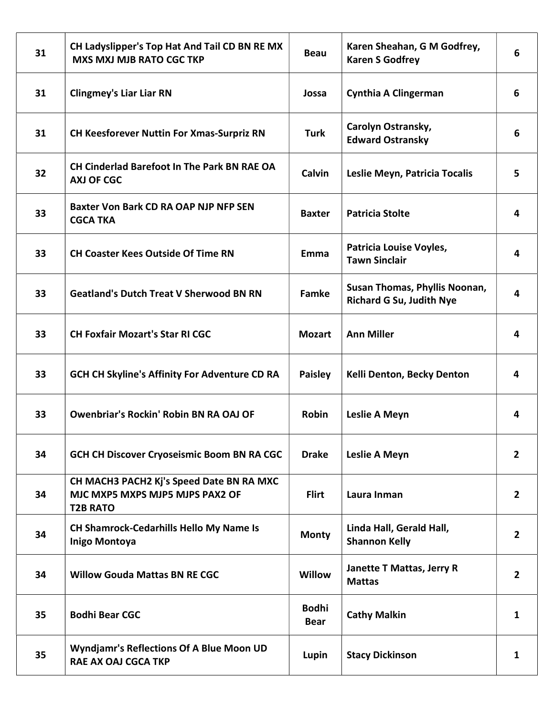| 31 | CH Ladyslipper's Top Hat And Tail CD BN RE MX<br><b>MXS MXJ MJB RATO CGC TKP</b>               | <b>Beau</b>                 | Karen Sheahan, G M Godfrey,<br><b>Karen S Godfrey</b>            | 6              |
|----|------------------------------------------------------------------------------------------------|-----------------------------|------------------------------------------------------------------|----------------|
| 31 | <b>Clingmey's Liar Liar RN</b>                                                                 | Jossa                       | <b>Cynthia A Clingerman</b>                                      | 6              |
| 31 | <b>CH Keesforever Nuttin For Xmas-Surpriz RN</b>                                               | <b>Turk</b>                 | Carolyn Ostransky,<br><b>Edward Ostransky</b>                    | 6              |
| 32 | <b>CH Cinderlad Barefoot In The Park BN RAE OA</b><br><b>AXJ OF CGC</b>                        | Calvin                      | Leslie Meyn, Patricia Tocalis                                    | 5              |
| 33 | Baxter Von Bark CD RA OAP NJP NFP SEN<br><b>CGCA TKA</b>                                       | <b>Baxter</b>               | <b>Patricia Stolte</b>                                           | 4              |
| 33 | <b>CH Coaster Kees Outside Of Time RN</b>                                                      | Emma                        | Patricia Louise Voyles,<br><b>Tawn Sinclair</b>                  | 4              |
| 33 | <b>Geatland's Dutch Treat V Sherwood BN RN</b>                                                 | <b>Famke</b>                | Susan Thomas, Phyllis Noonan,<br><b>Richard G Su, Judith Nye</b> | 4              |
| 33 | <b>CH Foxfair Mozart's Star RI CGC</b>                                                         | <b>Mozart</b>               | <b>Ann Miller</b>                                                | 4              |
| 33 | <b>GCH CH Skyline's Affinity For Adventure CD RA</b>                                           | <b>Paisley</b>              | Kelli Denton, Becky Denton                                       | 4              |
| 33 | <b>Owenbriar's Rockin' Robin BN RA OAJ OF</b>                                                  | <b>Robin</b>                | Leslie A Meyn                                                    | 4              |
| 34 | <b>GCH CH Discover Cryoseismic Boom BN RA CGC</b>                                              | <b>Drake</b>                | Leslie A Meyn                                                    | $\overline{2}$ |
| 34 | CH MACH3 PACH2 Kj's Speed Date BN RA MXC<br>MJC MXP5 MXPS MJP5 MJPS PAX2 OF<br><b>T2B RATO</b> | <b>Flirt</b>                | Laura Inman                                                      | $\overline{2}$ |
| 34 | <b>CH Shamrock-Cedarhills Hello My Name Is</b><br><b>Inigo Montoya</b>                         | <b>Monty</b>                | Linda Hall, Gerald Hall,<br><b>Shannon Kelly</b>                 | $\overline{2}$ |
| 34 | <b>Willow Gouda Mattas BN RE CGC</b>                                                           | Willow                      | Janette T Mattas, Jerry R<br><b>Mattas</b>                       | $\overline{2}$ |
| 35 | <b>Bodhi Bear CGC</b>                                                                          | <b>Bodhi</b><br><b>Bear</b> | <b>Cathy Malkin</b>                                              | 1              |
| 35 | <b>Wyndjamr's Reflections Of A Blue Moon UD</b><br><b>RAE AX OAJ CGCA TKP</b>                  | Lupin                       | <b>Stacy Dickinson</b>                                           | 1              |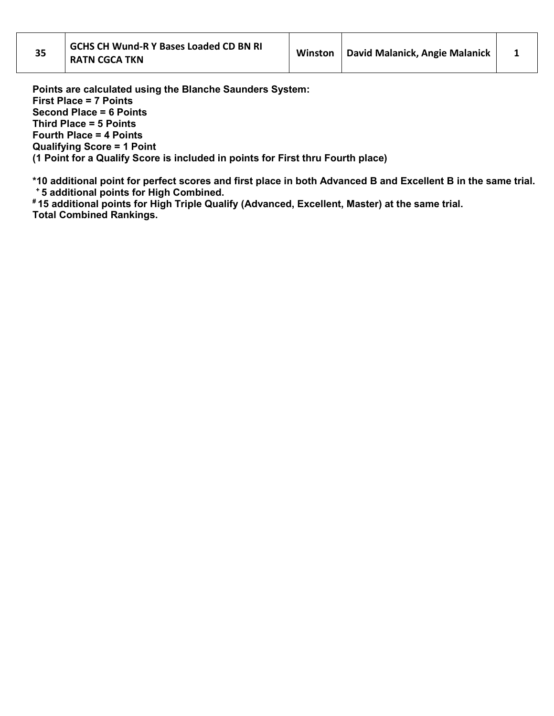Points are calculated using the Blanche Saunders System: First Place = 7 Points Second Place = 6 Points Third Place = 5 Points Fourth Place = 4 Points Qualifying Score = 1 Point (1 Point for a Qualify Score is included in points for First thru Fourth place)

\*10 additional point for perfect scores and first place in both Advanced B and Excellent B in the same trial. <sup>+</sup>5 additional points for High Combined.

# 15 additional points for High Triple Qualify (Advanced, Excellent, Master) at the same trial. Total Combined Rankings.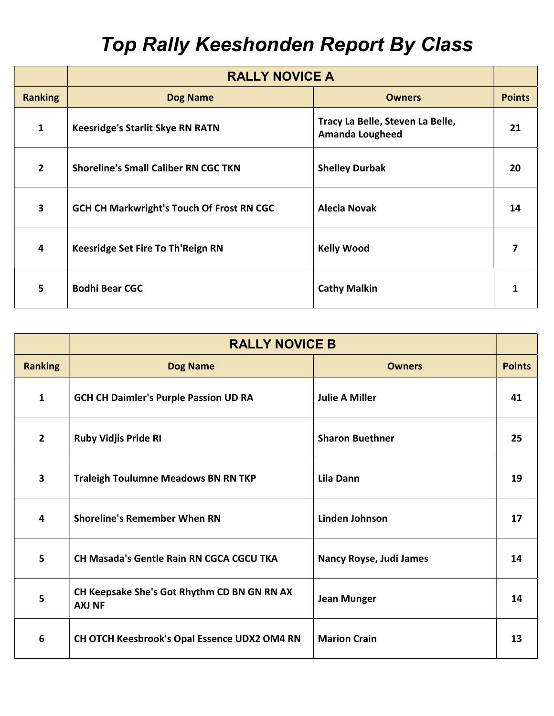## Top Rally Keeshonden Report By Class

|                         | <b>RALLY NOVICE A</b>                            |                                                            |               |
|-------------------------|--------------------------------------------------|------------------------------------------------------------|---------------|
| <b>Ranking</b>          | <b>Dog Name</b>                                  | <b>Owners</b>                                              | <b>Points</b> |
| $\mathbf{1}$            | <b>Keesridge's Starlit Skye RN RATN</b>          | Tracy La Belle, Steven La Belle,<br><b>Amanda Lougheed</b> | 21            |
| $\overline{2}$          | <b>Shoreline's Small Caliber RN CGC TKN</b>      | <b>Shelley Durbak</b>                                      | 20            |
| $\overline{\mathbf{3}}$ | <b>GCH CH Markwright's Touch Of Frost RN CGC</b> | <b>Alecia Novak</b>                                        | 14            |
| 4                       | Keesridge Set Fire To Th'Reign RN                | <b>Kelly Wood</b>                                          | 7             |
| 5                       | <b>Bodhi Bear CGC</b>                            | <b>Cathy Malkin</b>                                        |               |

|                         | <b>RALLY NOVICE B</b>                                        |                                |               |
|-------------------------|--------------------------------------------------------------|--------------------------------|---------------|
| <b>Ranking</b>          | <b>Dog Name</b>                                              | <b>Owners</b>                  | <b>Points</b> |
| 1                       | <b>GCH CH Daimler's Purple Passion UD RA</b>                 | <b>Julie A Miller</b>          | 41            |
| $\overline{2}$          | <b>Ruby Vidjis Pride RI</b>                                  | <b>Sharon Buethner</b>         | 25            |
| $\overline{\mathbf{3}}$ | <b>Traleigh Toulumne Meadows BN RN TKP</b>                   | Lila Dann                      | 19            |
| 4                       | <b>Shoreline's Remember When RN</b>                          | Linden Johnson                 | 17            |
| 5                       | <b>CH Masada's Gentle Rain RN CGCA CGCU TKA</b>              | <b>Nancy Royse, Judi James</b> | 14            |
| 5                       | CH Keepsake She's Got Rhythm CD BN GN RN AX<br><b>AXJ NF</b> | <b>Jean Munger</b>             | 14            |
| 6                       | CH OTCH Keesbrook's Opal Essence UDX2 OM4 RN                 | <b>Marion Crain</b>            | 13            |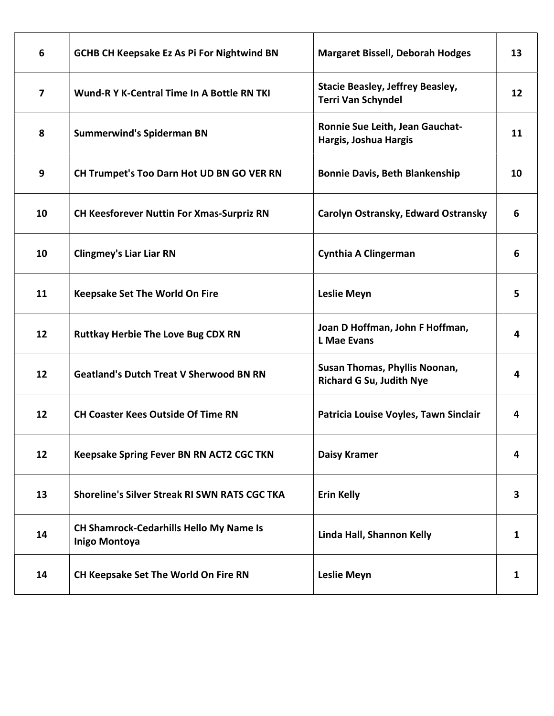| 6  | <b>GCHB CH Keepsake Ez As Pi For Nightwind BN</b>                      | <b>Margaret Bissell, Deborah Hodges</b>                              | 13 |
|----|------------------------------------------------------------------------|----------------------------------------------------------------------|----|
| 7  | Wund-R Y K-Central Time In A Bottle RN TKI                             | <b>Stacie Beasley, Jeffrey Beasley,</b><br><b>Terri Van Schyndel</b> | 12 |
| 8  | <b>Summerwind's Spiderman BN</b>                                       | Ronnie Sue Leith, Jean Gauchat-<br>Hargis, Joshua Hargis             | 11 |
| 9  | CH Trumpet's Too Darn Hot UD BN GO VER RN                              | <b>Bonnie Davis, Beth Blankenship</b>                                | 10 |
| 10 | <b>CH Keesforever Nuttin For Xmas-Surpriz RN</b>                       | Carolyn Ostransky, Edward Ostransky                                  | 6  |
| 10 | <b>Clingmey's Liar Liar RN</b>                                         | <b>Cynthia A Clingerman</b>                                          | 6  |
| 11 | <b>Keepsake Set The World On Fire</b>                                  | <b>Leslie Meyn</b>                                                   | 5  |
| 12 | <b>Ruttkay Herbie The Love Bug CDX RN</b>                              | Joan D Hoffman, John F Hoffman,<br><b>L Mae Evans</b>                | 4  |
| 12 | <b>Geatland's Dutch Treat V Sherwood BN RN</b>                         | Susan Thomas, Phyllis Noonan,<br><b>Richard G Su, Judith Nye</b>     | 4  |
| 12 | <b>CH Coaster Kees Outside Of Time RN</b>                              | Patricia Louise Voyles, Tawn Sinclair                                | 4  |
| 12 | Keepsake Spring Fever BN RN ACT2 CGC TKN                               | <b>Daisy Kramer</b>                                                  | 4  |
| 13 | <b>Shoreline's Silver Streak RI SWN RATS CGC TKA</b>                   | <b>Erin Kelly</b>                                                    | 3  |
| 14 | <b>CH Shamrock-Cedarhills Hello My Name Is</b><br><b>Inigo Montoya</b> | Linda Hall, Shannon Kelly                                            | 1  |
| 14 | CH Keepsake Set The World On Fire RN                                   | <b>Leslie Meyn</b>                                                   | 1  |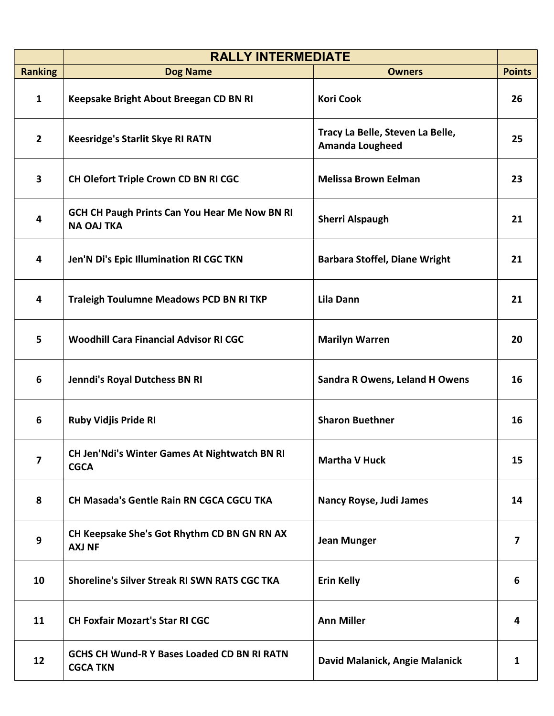|                | <b>RALLY INTERMEDIATE</b>                                                 |                                                            |                |
|----------------|---------------------------------------------------------------------------|------------------------------------------------------------|----------------|
| <b>Ranking</b> | <b>Dog Name</b>                                                           | <b>Owners</b>                                              | <b>Points</b>  |
| $\mathbf{1}$   | Keepsake Bright About Breegan CD BN RI                                    | <b>Kori Cook</b>                                           | 26             |
| $\mathbf{2}$   | <b>Keesridge's Starlit Skye RI RATN</b>                                   | Tracy La Belle, Steven La Belle,<br><b>Amanda Lougheed</b> | 25             |
| 3              | CH Olefort Triple Crown CD BN RI CGC                                      | <b>Melissa Brown Eelman</b>                                | 23             |
| 4              | <b>GCH CH Paugh Prints Can You Hear Me Now BN RI</b><br><b>NA OAJ TKA</b> | <b>Sherri Alspaugh</b>                                     | 21             |
| 4              | Jen'N Di's Epic Illumination RI CGC TKN                                   | <b>Barbara Stoffel, Diane Wright</b>                       | 21             |
| 4              | <b>Traleigh Toulumne Meadows PCD BN RI TKP</b>                            | Lila Dann                                                  | 21             |
| 5              | <b>Woodhill Cara Financial Advisor RI CGC</b>                             | <b>Marilyn Warren</b>                                      | 20             |
| 6              | Jenndi's Royal Dutchess BN RI                                             | <b>Sandra R Owens, Leland H Owens</b>                      | 16             |
| 6              | <b>Ruby Vidjis Pride RI</b>                                               | <b>Sharon Buethner</b>                                     | 16             |
| 7              | <b>CH Jen'Ndi's Winter Games At Nightwatch BN RI</b><br><b>CGCA</b>       | <b>Martha V Huck</b>                                       | 15             |
| 8              | CH Masada's Gentle Rain RN CGCA CGCU TKA                                  | Nancy Royse, Judi James                                    | 14             |
| 9              | CH Keepsake She's Got Rhythm CD BN GN RN AX<br><b>AXJ NF</b>              | <b>Jean Munger</b>                                         | $\overline{7}$ |
| 10             | Shoreline's Silver Streak RI SWN RATS CGC TKA                             | <b>Erin Kelly</b>                                          | 6              |
| 11             | <b>CH Foxfair Mozart's Star RI CGC</b>                                    | <b>Ann Miller</b>                                          | 4              |
| 12             | <b>GCHS CH Wund-R Y Bases Loaded CD BN RI RATN</b><br><b>CGCA TKN</b>     | David Malanick, Angie Malanick                             | 1              |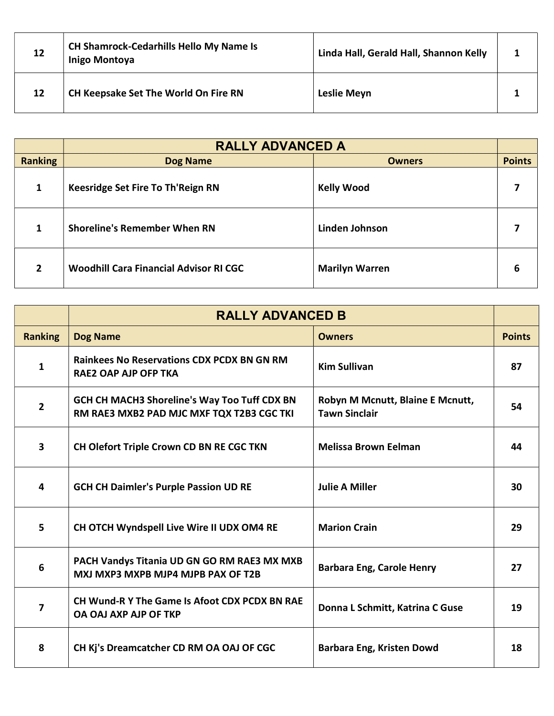| 12 | <b>CH Shamrock-Cedarhills Hello My Name Is</b><br><b>Inigo Montoya</b> | Linda Hall, Gerald Hall, Shannon Kelly |  |
|----|------------------------------------------------------------------------|----------------------------------------|--|
| 12 | <b>CH Keepsake Set The World On Fire RN</b>                            | Leslie Meyn                            |  |

|                | <b>RALLY ADVANCED A</b>                       |                       |               |  |
|----------------|-----------------------------------------------|-----------------------|---------------|--|
| <b>Ranking</b> | <b>Dog Name</b>                               | <b>Owners</b>         | <b>Points</b> |  |
| 1              | Keesridge Set Fire To Th'Reign RN             | <b>Kelly Wood</b>     |               |  |
| 1              | <b>Shoreline's Remember When RN</b>           | <b>Linden Johnson</b> |               |  |
| $\overline{2}$ | <b>Woodhill Cara Financial Advisor RI CGC</b> | <b>Marilyn Warren</b> | 6             |  |

|                         | <b>RALLY ADVANCED B</b>                                                                          |                                                          |               |
|-------------------------|--------------------------------------------------------------------------------------------------|----------------------------------------------------------|---------------|
| <b>Ranking</b>          | <b>Dog Name</b>                                                                                  | <b>Owners</b>                                            | <b>Points</b> |
| 1                       | <b>Rainkees No Reservations CDX PCDX BN GN RM</b><br><b>RAE2 OAP AJP OFP TKA</b>                 | <b>Kim Sullivan</b>                                      | 87            |
| $\overline{2}$          | <b>GCH CH MACH3 Shoreline's Way Too Tuff CDX BN</b><br>RM RAE3 MXB2 PAD MJC MXF TQX T2B3 CGC TKI | Robyn M Mcnutt, Blaine E Mcnutt,<br><b>Tawn Sinclair</b> | 54            |
| $\overline{\mathbf{3}}$ | CH Olefort Triple Crown CD BN RE CGC TKN                                                         | <b>Melissa Brown Eelman</b>                              | 44            |
| 4                       | <b>GCH CH Daimler's Purple Passion UD RE</b>                                                     | <b>Julie A Miller</b>                                    | 30            |
| 5                       | CH OTCH Wyndspell Live Wire II UDX OM4 RE                                                        | <b>Marion Crain</b>                                      | 29            |
| 6                       | PACH Vandys Titania UD GN GO RM RAE3 MX MXB<br>MXJ MXP3 MXPB MJP4 MJPB PAX OF T2B                | <b>Barbara Eng, Carole Henry</b>                         | 27            |
| 7                       | CH Wund-R Y The Game Is Afoot CDX PCDX BN RAE<br>OA OAJ AXP AJP OF TKP                           | Donna L Schmitt, Katrina C Guse                          | 19            |
| 8                       | CH Kj's Dreamcatcher CD RM OA OAJ OF CGC                                                         | Barbara Eng, Kristen Dowd                                | 18            |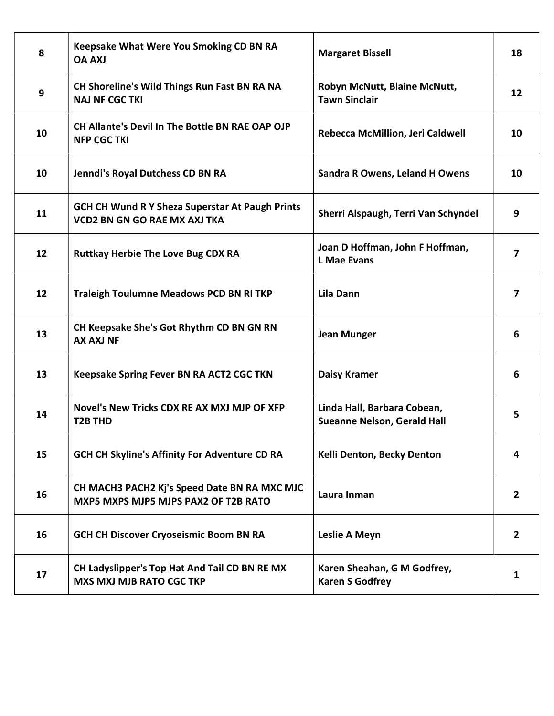| 8  | Keepsake What Were You Smoking CD BN RA<br><b>UXA AO</b>                                      | <b>Margaret Bissell</b>                                           | 18                      |
|----|-----------------------------------------------------------------------------------------------|-------------------------------------------------------------------|-------------------------|
| 9  | CH Shoreline's Wild Things Run Fast BN RA NA<br><b>NAJ NF CGC TKI</b>                         | Robyn McNutt, Blaine McNutt,<br><b>Tawn Sinclair</b>              | 12                      |
| 10 | CH Allante's Devil In The Bottle BN RAE OAP OJP<br><b>NFP CGC TKI</b>                         | Rebecca McMillion, Jeri Caldwell                                  | 10                      |
| 10 | Jenndi's Royal Dutchess CD BN RA                                                              | <b>Sandra R Owens, Leland H Owens</b>                             | 10                      |
| 11 | <b>GCH CH Wund R Y Sheza Superstar At Paugh Prints</b><br><b>VCD2 BN GN GO RAE MX AXJ TKA</b> | Sherri Alspaugh, Terri Van Schyndel                               | 9                       |
| 12 | <b>Ruttkay Herbie The Love Bug CDX RA</b>                                                     | Joan D Hoffman, John F Hoffman,<br><b>L</b> Mae Evans             | 7                       |
| 12 | <b>Traleigh Toulumne Meadows PCD BN RI TKP</b>                                                | <b>Lila Dann</b>                                                  | $\overline{\mathbf{z}}$ |
| 13 | CH Keepsake She's Got Rhythm CD BN GN RN<br><b>AX AXJ NF</b>                                  | <b>Jean Munger</b>                                                | 6                       |
| 13 | Keepsake Spring Fever BN RA ACT2 CGC TKN                                                      | <b>Daisy Kramer</b>                                               | 6                       |
| 14 | Novel's New Tricks CDX RE AX MXJ MJP OF XFP<br><b>T2B THD</b>                                 | Linda Hall, Barbara Cobean,<br><b>Sueanne Nelson, Gerald Hall</b> | 5                       |
| 15 | GCH CH Skyline's Affinity For Adventure CD RA                                                 | Kelli Denton, Becky Denton                                        | 4                       |
| 16 | CH MACH3 PACH2 Kj's Speed Date BN RA MXC MJC<br>MXP5 MXPS MJP5 MJPS PAX2 OF T2B RATO          | Laura Inman                                                       | $\overline{2}$          |
| 16 | <b>GCH CH Discover Cryoseismic Boom BN RA</b>                                                 | Leslie A Meyn                                                     | $\mathbf{2}$            |
| 17 | CH Ladyslipper's Top Hat And Tail CD BN RE MX<br><b>MXS MXJ MJB RATO CGC TKP</b>              | Karen Sheahan, G M Godfrey,<br><b>Karen S Godfrey</b>             | 1                       |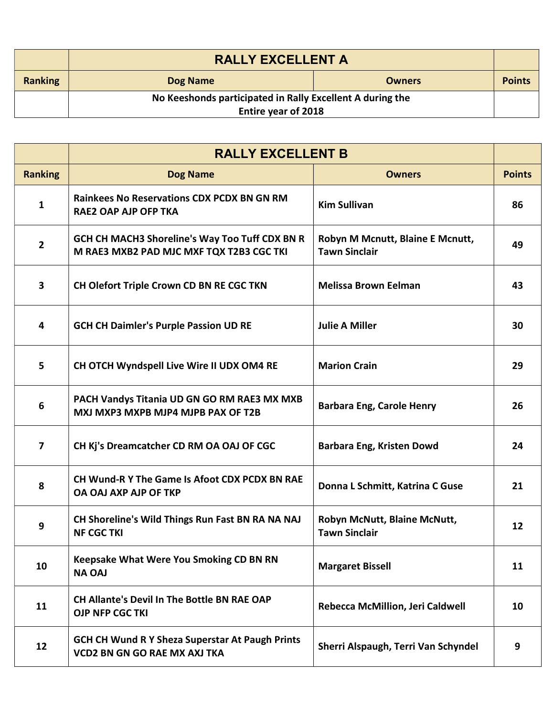|                | <b>RALLY EXCELLENT A</b>                                  |               |               |
|----------------|-----------------------------------------------------------|---------------|---------------|
| <b>Ranking</b> | Dog Name                                                  | <b>Owners</b> | <b>Points</b> |
|                | No Keeshonds participated in Rally Excellent A during the |               |               |
|                | <b>Entire year of 2018</b>                                |               |               |

|                         | <b>RALLY EXCELLENT B</b>                                                                      |                                                          |               |
|-------------------------|-----------------------------------------------------------------------------------------------|----------------------------------------------------------|---------------|
| <b>Ranking</b>          | <b>Dog Name</b>                                                                               | <b>Owners</b>                                            | <b>Points</b> |
| $\mathbf{1}$            | <b>Rainkees No Reservations CDX PCDX BN GN RM</b><br><b>RAE2 OAP AJP OFP TKA</b>              | <b>Kim Sullivan</b>                                      | 86            |
| $\overline{2}$          | GCH CH MACH3 Shoreline's Way Too Tuff CDX BN R<br>M RAE3 MXB2 PAD MJC MXF TQX T2B3 CGC TKI    | Robyn M Mcnutt, Blaine E Mcnutt,<br><b>Tawn Sinclair</b> | 49            |
| $\mathbf{3}$            | CH Olefort Triple Crown CD BN RE CGC TKN                                                      | <b>Melissa Brown Eelman</b>                              | 43            |
| $\overline{\mathbf{4}}$ | <b>GCH CH Daimler's Purple Passion UD RE</b>                                                  | <b>Julie A Miller</b>                                    | 30            |
| 5                       | CH OTCH Wyndspell Live Wire II UDX OM4 RE                                                     | <b>Marion Crain</b>                                      | 29            |
| 6                       | PACH Vandys Titania UD GN GO RM RAE3 MX MXB<br>MXJ MXP3 MXPB MJP4 MJPB PAX OF T2B             | <b>Barbara Eng, Carole Henry</b>                         | 26            |
| $\overline{7}$          | CH Kj's Dreamcatcher CD RM OA OAJ OF CGC                                                      | Barbara Eng, Kristen Dowd                                | 24            |
| 8                       | CH Wund-R Y The Game Is Afoot CDX PCDX BN RAE<br>OA OAJ AXP AJP OF TKP                        | Donna L Schmitt, Katrina C Guse                          | 21            |
| $\boldsymbol{9}$        | CH Shoreline's Wild Things Run Fast BN RA NA NAJ<br><b>NF CGC TKI</b>                         | Robyn McNutt, Blaine McNutt,<br><b>Tawn Sinclair</b>     | 12            |
| 10                      | <b>Keepsake What Were You Smoking CD BN RN</b><br><b>NA OAJ</b>                               | <b>Margaret Bissell</b>                                  | 11            |
| 11                      | <b>CH Allante's Devil In The Bottle BN RAE OAP</b><br><b>OJP NFP CGC TKI</b>                  | Rebecca McMillion, Jeri Caldwell                         | 10            |
| 12                      | <b>GCH CH Wund R Y Sheza Superstar At Paugh Prints</b><br><b>VCD2 BN GN GO RAE MX AXJ TKA</b> | Sherri Alspaugh, Terri Van Schyndel                      | 9             |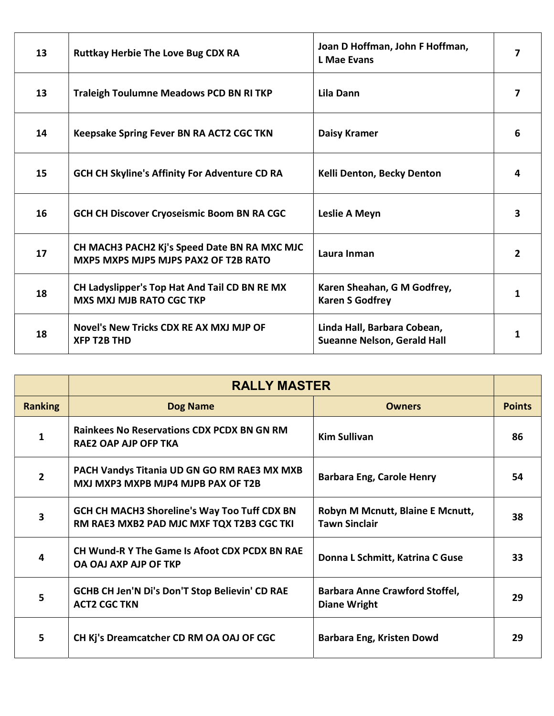| 13 | <b>Ruttkay Herbie The Love Bug CDX RA</b>                                            | Joan D Hoffman, John F Hoffman,<br><b>L</b> Mae Evans             | 7              |
|----|--------------------------------------------------------------------------------------|-------------------------------------------------------------------|----------------|
| 13 | <b>Traleigh Toulumne Meadows PCD BN RI TKP</b>                                       | Lila Dann                                                         | 7              |
| 14 | Keepsake Spring Fever BN RA ACT2 CGC TKN                                             | <b>Daisy Kramer</b>                                               | 6              |
| 15 | <b>GCH CH Skyline's Affinity For Adventure CD RA</b>                                 | Kelli Denton, Becky Denton                                        | 4              |
| 16 | <b>GCH CH Discover Cryoseismic Boom BN RA CGC</b>                                    | Leslie A Meyn                                                     | 3              |
| 17 | CH MACH3 PACH2 Kj's Speed Date BN RA MXC MJC<br>MXP5 MXPS MJP5 MJPS PAX2 OF T2B RATO | Laura Inman                                                       | $\overline{2}$ |
| 18 | CH Ladyslipper's Top Hat And Tail CD BN RE MX<br><b>MXS MXJ MJB RATO CGC TKP</b>     | Karen Sheahan, G M Godfrey,<br><b>Karen S Godfrey</b>             | 1              |
| 18 | Novel's New Tricks CDX RE AX MXJ MJP OF<br><b>XFP T2B THD</b>                        | Linda Hall, Barbara Cobean,<br><b>Sueanne Nelson, Gerald Hall</b> | 1              |

|                | <b>RALLY MASTER</b>                                                                              |                                                              |               |
|----------------|--------------------------------------------------------------------------------------------------|--------------------------------------------------------------|---------------|
| <b>Ranking</b> | <b>Dog Name</b>                                                                                  | <b>Owners</b>                                                | <b>Points</b> |
| 1              | <b>Rainkees No Reservations CDX PCDX BN GN RM</b><br>RAE2 OAP AJP OFP TKA                        | <b>Kim Sullivan</b>                                          | 86            |
| 2              | PACH Vandys Titania UD GN GO RM RAE3 MX MXB<br>MXJ MXP3 MXPB MJP4 MJPB PAX OF T2B                | <b>Barbara Eng, Carole Henry</b>                             | 54            |
| 3              | <b>GCH CH MACH3 Shoreline's Way Too Tuff CDX BN</b><br>RM RAE3 MXB2 PAD MJC MXF TQX T2B3 CGC TKI | Robyn M Mcnutt, Blaine E Mcnutt,<br><b>Tawn Sinclair</b>     | 38            |
| 4              | <b>CH Wund-R Y The Game Is Afoot CDX PCDX BN RAE</b><br>OA OAJ AXP AJP OF TKP                    | Donna L Schmitt, Katrina C Guse                              | 33            |
| 5              | <b>GCHB CH Jen'N Di's Don'T Stop Believin' CD RAE</b><br><b>ACT2 CGC TKN</b>                     | <b>Barbara Anne Crawford Stoffel,</b><br><b>Diane Wright</b> | 29            |
| 5              | CH Kj's Dreamcatcher CD RM OA OAJ OF CGC                                                         | Barbara Eng, Kristen Dowd                                    | 29            |